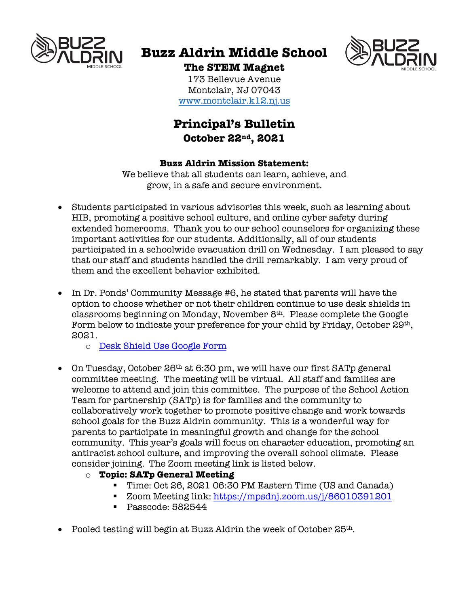

# **Buzz Aldrin Middle School**



**The STEM Magnet** 173 Bellevue Avenue Montclair, NJ 07043 www.montclair.k12.nj.us

# **Principal's Bulletin October 22nd, 2021**

# **Buzz Aldrin Mission Statement:**

We believe that all students can learn, achieve, and grow, in a safe and secure environment.

- Students participated in various advisories this week, such as learning about HIB, promoting a positive school culture, and online cyber safety during extended homerooms. Thank you to our school counselors for organizing these important activities for our students. Additionally, all of our students participated in a schoolwide evacuation drill on Wednesday. I am pleased to say that our staff and students handled the drill remarkably. I am very proud of them and the excellent behavior exhibited.
- In Dr. Ponds' Community Message #6, he stated that parents will have the option to choose whether or not their children continue to use desk shields in classrooms beginning on Monday, November 8th. Please complete the Google Form below to indicate your preference for your child by Friday, October 29<sup>th</sup>, 2021.
	- o Desk Shield Use Google Form
- On Tuesday, October 26<sup>th</sup> at 6:30 pm, we will have our first SATp general committee meeting. The meeting will be virtual. All staff and families are welcome to attend and join this committee. The purpose of the School Action Team for partnership (SATp) is for families and the community to collaboratively work together to promote positive change and work towards school goals for the Buzz Aldrin community. This is a wonderful way for parents to participate in meaningful growth and change for the school community. This year's goals will focus on character education, promoting an antiracist school culture, and improving the overall school climate. Please consider joining. The Zoom meeting link is listed below.
	- o **Topic: SATp General Meeting**
		- Time: Oct 26, 2021 06:30 PM Eastern Time (US and Canada)
		- Zoom Meeting link: https://mpsdnj.zoom.us/j/86010391201
		- Passcode: 582544
- Pooled testing will begin at Buzz Aldrin the week of October  $25<sup>th</sup>$ .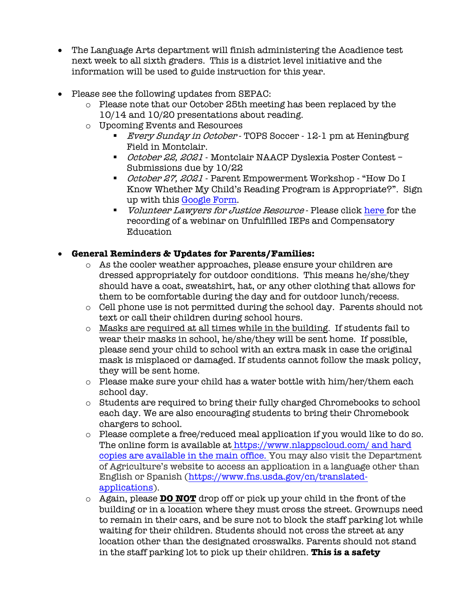- The Language Arts department will finish administering the Acadience test next week to all sixth graders. This is a district level initiative and the information will be used to guide instruction for this year.
- Please see the following updates from SEPAC:
	- $\circ$  Please note that our October 25th meeting has been replaced by the 10/14 and 10/20 presentations about reading.
	- o Upcoming Events and Resources
		- *Every Sunday in October* TOPS Soccer 12-1 pm at Heningburg Field in Montclair.
		- *October 22, 2021* Montclair NAACP Dyslexia Poster Contest Submissions due by 10/22
		- *October 27, 2021* Parent Empowerment Workshop "How Do I Know Whether My Child's Reading Program is Appropriate?". Sign up with this Google Form.
		- *Volunteer Lawyers for Justice Resource* Please click here for the recording of a webinar on Unfulfilled IEPs and Compensatory Education

# • **General Reminders & Updates for Parents/Families:**

- o As the cooler weather approaches, please ensure your children are dressed appropriately for outdoor conditions. This means he/she/they should have a coat, sweatshirt, hat, or any other clothing that allows for them to be comfortable during the day and for outdoor lunch/recess.
- o Cell phone use is not permitted during the school day. Parents should not text or call their children during school hours.
- o Masks are required at all times while in the building. If students fail to wear their masks in school, he/she/they will be sent home. If possible, please send your child to school with an extra mask in case the original mask is misplaced or damaged. If students cannot follow the mask policy, they will be sent home.
- $\circ$  Please make sure your child has a water bottle with him/her/them each school day.
- o Students are required to bring their fully charged Chromebooks to school each day. We are also encouraging students to bring their Chromebook chargers to school.
- $\circ$  Please complete a free/reduced meal application if you would like to do so. The online form is available at https://www.nlappscloud.com/ and hard copies are available in the main office. You may also visit the Department of Agriculture's website to access an application in a language other than English or Spanish (https://www.fns.usda.gov/cn/translatedapplications).
- o Again, please **DO NOT** drop off or pick up your child in the front of the building or in a location where they must cross the street. Grownups need to remain in their cars, and be sure not to block the staff parking lot while waiting for their children. Students should not cross the street at any location other than the designated crosswalks. Parents should not stand in the staff parking lot to pick up their children. **This is a safety**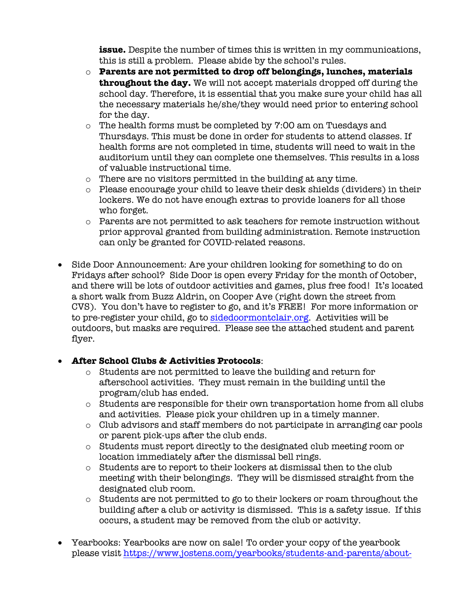**issue.** Despite the number of times this is written in my communications, this is still a problem. Please abide by the school's rules.

- o **Parents are not permitted to drop off belongings, lunches, materials throughout the day.** We will not accept materials dropped off during the school day. Therefore, it is essential that you make sure your child has all the necessary materials he/she/they would need prior to entering school for the day.
- o The health forms must be completed by 7:00 am on Tuesdays and Thursdays. This must be done in order for students to attend classes. If health forms are not completed in time, students will need to wait in the auditorium until they can complete one themselves. This results in a loss of valuable instructional time.
- o There are no visitors permitted in the building at any time.
- o Please encourage your child to leave their desk shields (dividers) in their lockers. We do not have enough extras to provide loaners for all those who forget.
- $\circ$  Parents are not permitted to ask teachers for remote instruction without prior approval granted from building administration. Remote instruction can only be granted for COVID-related reasons.
- Side Door Announcement: Are your children looking for something to do on Fridays after school? Side Door is open every Friday for the month of October, and there will be lots of outdoor activities and games, plus free food! It's located a short walk from Buzz Aldrin, on Cooper Ave (right down the street from CVS). You don't have to register to go, and it's FREE! For more information or to pre-register your child, go to sidedoormontclair.org. Activities will be outdoors, but masks are required. Please see the attached student and parent flyer.

# • **After School Clubs & Activities Protocols**:

- o Students are not permitted to leave the building and return for afterschool activities. They must remain in the building until the program/club has ended.
- $\circ$  Students are responsible for their own transportation home from all clubs and activities. Please pick your children up in a timely manner.
- o Club advisors and staff members do not participate in arranging car pools or parent pick-ups after the club ends.
- o Students must report directly to the designated club meeting room or location immediately after the dismissal bell rings.
- o Students are to report to their lockers at dismissal then to the club meeting with their belongings. They will be dismissed straight from the designated club room.
- o Students are not permitted to go to their lockers or roam throughout the building after a club or activity is dismissed. This is a safety issue. If this occurs, a student may be removed from the club or activity.
- Yearbooks: Yearbooks are now on sale! To order your copy of the yearbook please visit https://www.jostens.com/yearbooks/students-and-parents/about-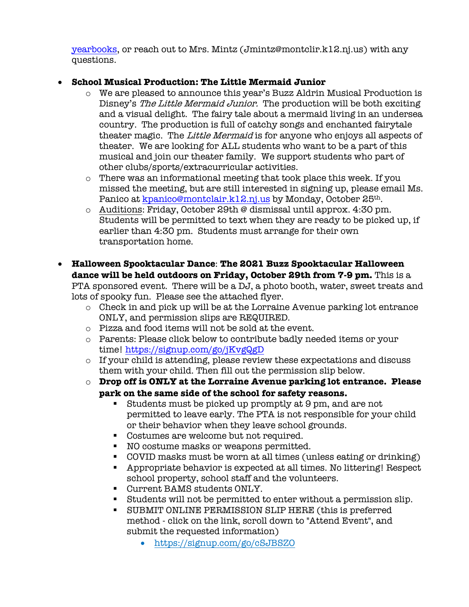yearbooks, or reach out to Mrs. Mintz (Jmintz@montclir.k12.nj.us) with any questions.

# • **School Musical Production: The Little Mermaid Junior**

- o We are pleased to announce this year's Buzz Aldrin Musical Production is Disney's The Little Mermaid Junior. The production will be both exciting and a visual delight. The fairy tale about a mermaid living in an undersea country. The production is full of catchy songs and enchanted fairytale theater magic. The Little Mermaid is for anyone who enjoys all aspects of theater. We are looking for ALL students who want to be a part of this musical and join our theater family. We support students who part of other clubs/sports/extracurricular activities.
- $\circ$  There was an informational meeting that took place this week. If you missed the meeting, but are still interested in signing up, please email Ms. Panico at kpanico@montclair.k12.nj.us by Monday, October 25<sup>th</sup>.
- $\circ$  Auditions: Friday, October 29th @ dismissal until approx. 4:30 pm. Students will be permitted to text when they are ready to be picked up, if earlier than 4:30 pm. Students must arrange for their own transportation home.
- **Halloween Spooktacular Dance**: **The 2021 Buzz Spooktacular Halloween dance will be held outdoors on Friday, October 29th from 7-9 pm.** This is a PTA sponsored event. There will be a DJ, a photo booth, water, sweet treats and lots of spooky fun. Please see the attached flyer.
	- o Check in and pick up will be at the Lorraine Avenue parking lot entrance ONLY, and permission slips are REQUIRED.
	- o Pizza and food items will not be sold at the event.
	- o Parents: Please click below to contribute badly needed items or your time! https://signup.com/go/jKvgQgD
	- o If your child is attending, please review these expectations and discuss them with your child. Then fill out the permission slip below.
	- o **Drop off is ONLY at the Lorraine Avenue parking lot entrance. Please park on the same side of the school for safety reasons.**
		- § Students must be picked up promptly at 9 pm, and are not permitted to leave early. The PTA is not responsible for your child or their behavior when they leave school grounds.
		- Costumes are welcome but not required.
		- NO costume masks or weapons permitted.
		- COVID masks must be worn at all times (unless eating or drinking)
		- § Appropriate behavior is expected at all times. No littering! Respect school property, school staff and the volunteers.
		- Current BAMS students ONLY.
		- § Students will not be permitted to enter without a permission slip.
		- § SUBMIT ONLINE PERMISSION SLIP HERE (this is preferred method - click on the link, scroll down to "Attend Event", and submit the requested information)
			- https://signup.com/go/cSJBSZO